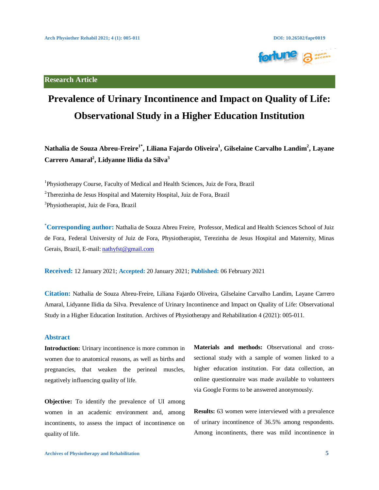

**Research Article**

# **Prevalence of Urinary Incontinence and Impact on Quality of Life: Observational Study in a Higher Education Institution**

**Nathalia de Souza Abreu-Freire1\*, Liliana Fajardo Oliveira1 , Gilselaine Carvalho Landim2 , Layane Carrero Amaral2 , Lidyanne Ilidia da Silva3**

<sup>1</sup>Physiotherapy Course, Faculty of Medical and Health Sciences, Juiz de Fora, Brazil <sup>2</sup>Therezinha de Jesus Hospital and Maternity Hospital, Juiz de Fora, Brazil 3 Physiotherapist, Juiz de Fora, Brazil

**\* Corresponding author:** Nathalia de Souza Abreu Freire, Professor, Medical and Health Sciences School of Juiz de Fora, Federal University of Juiz de Fora, Physiotherapist, Terezinha de Jesus Hospital and Maternity, Minas Gerais, Brazil, E-mail[: nathyfst@gmail.com](mailto:nathyfst@gmail.com) 

**Received:** 12 January 2021; **Accepted:** 20 January 2021; **Published:** 06 February 2021

**Citation:** Nathalia de Souza Abreu-Freire, Liliana Fajardo Oliveira, Gilselaine Carvalho Landim, Layane Carrero Amaral, Lidyanne Ilidia da Silva. Prevalence of Urinary Incontinence and Impact on Quality of Life: Observational Study in a Higher Education Institution. Archives of Physiotherapy and Rehabilitation 4 (2021): 005-011.

#### **Abstract**

**Introduction:** Urinary incontinence is more common in women due to anatomical reasons, as well as births and pregnancies, that weaken the perineal muscles, negatively influencing quality of life.

**Objective:** To identify the prevalence of UI among women in an academic environment and, among incontinents, to assess the impact of incontinence on quality of life.

**Materials and methods:** Observational and crosssectional study with a sample of women linked to a higher education institution. For data collection, an online questionnaire was made available to volunteers via Google Forms to be answered anonymously.

**Results:** 63 women were interviewed with a prevalence of urinary incontinence of 36.5% among respondents. Among incontinents, there was mild incontinence in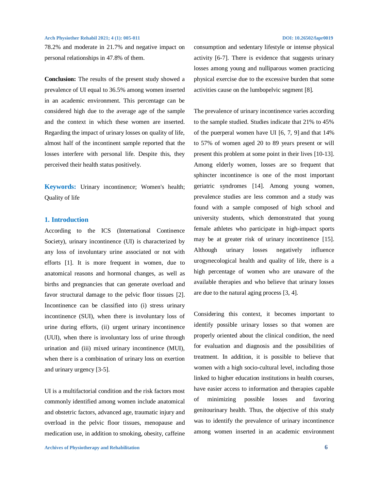78.2% and moderate in 21.7% and negative impact on personal relationships in 47.8% of them.

**Conclusion:** The results of the present study showed a prevalence of UI equal to 36.5% among women inserted in an academic environment. This percentage can be considered high due to the average age of the sample and the context in which these women are inserted. Regarding the impact of urinary losses on quality of life, almost half of the incontinent sample reported that the losses interfere with personal life. Despite this, they perceived their health status positively.

**Keywords:** Urinary incontinence; Women's health; Quality of life

#### **1. Introduction**

According to the ICS (International Continence Society), urinary incontinence (UI) is characterized by any loss of involuntary urine associated or not with efforts [1]. It is more frequent in women, due to anatomical reasons and hormonal changes, as well as births and pregnancies that can generate overload and favor structural damage to the pelvic floor tissues [2]. Incontinence can be classified into (i) stress urinary incontinence (SUI), when there is involuntary loss of urine during efforts, (ii) urgent urinary incontinence (UUI), when there is involuntary loss of urine through urination and (iii) mixed urinary incontinence (MUI), when there is a combination of urinary loss on exertion and urinary urgency [3-5].

UI is a multifactorial condition and the risk factors most commonly identified among women include anatomical and obstetric factors, advanced age, traumatic injury and overload in the pelvic floor tissues, menopause and medication use, in addition to smoking, obesity, caffeine

## consumption and sedentary lifestyle or intense physical activity [6-7]. There is evidence that suggests urinary losses among young and nulliparous women practicing physical exercise due to the excessive burden that some activities cause on the lumbopelvic segment [8].

The prevalence of urinary incontinence varies according to the sample studied. Studies indicate that 21% to 45% of the puerperal women have UI [6, 7, 9] and that 14% to 57% of women aged 20 to 89 years present or will present this problem at some point in their lives [10-13]. Among elderly women, losses are so frequent that sphincter incontinence is one of the most important geriatric syndromes [14]. Among young women, prevalence studies are less common and a study was found with a sample composed of high school and university students, which demonstrated that young female athletes who participate in high-impact sports may be at greater risk of urinary incontinence [15]. Although urinary losses negatively influence urogynecological health and quality of life, there is a high percentage of women who are unaware of the available therapies and who believe that urinary losses are due to the natural aging process [3, 4].

Considering this context, it becomes important to identify possible urinary losses so that women are properly oriented about the clinical condition, the need for evaluation and diagnosis and the possibilities of treatment. In addition, it is possible to believe that women with a high socio-cultural level, including those linked to higher education institutions in health courses, have easier access to information and therapies capable of minimizing possible losses and favoring genitourinary health. Thus, the objective of this study was to identify the prevalence of urinary incontinence among women inserted in an academic environment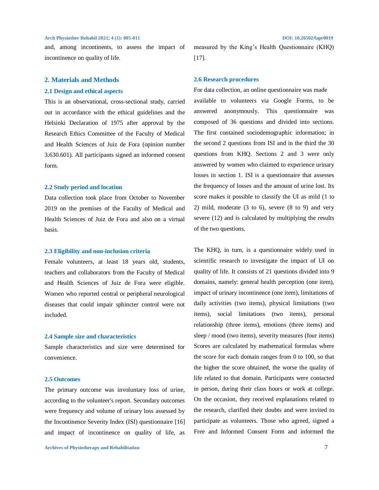and, among incontinents, to assess the impact of incontinence on quality of life.

#### **2. Materials and Methods**

#### **2.1 Design and ethical aspects**

This is an observational, cross-sectional study, carried out in accordance with the ethical guidelines and the Helsinki Declaration of 1975 after approval by the Research Ethics Committee of the Faculty of Medical and Health Sciences of Juiz de Fora (opinion number 3.630.601). All participants signed an informed consent form.

### **2.2 Study period and location**

Data collection took place from October to November 2019 on the premises of the Faculty of Medical and Health Sciences of Juiz de Fora and also on a virtual basis.

#### **2.3 Eligibility and non-inclusion criteria**

Female volunteers, at least 18 years old, students, teachers and collaborators from the Faculty of Medical and Health Sciences of Juiz de Fora were eligible. Women who reported central or peripheral neurological diseases that could impair sphincter control were not included.

#### **2.4 Sample size and characteristics**

Sample characteristics and size were determined for convenience.

#### **2.5 Outcomes**

The primary outcome was involuntary loss of urine, according to the volunteer's report. Secondary outcomes were frequency and volume of urinary loss assessed by the Incontinence Severity Index (ISI) questionnaire [16] and impact of incontinence on quality of life, as

measured by the King's Health Questionnaire (KHQ) [17].

#### **2.6 Research procedures**

For data collection, an online questionnaire was made available to volunteers via Google Forms, to be answered anonymously. This questionnaire was composed of 36 questions and divided into sections. The first contained sociodemographic information; in the second 2 questions from ISI and in the third the 30 questions from KHQ. Sections 2 and 3 were only answered by women who claimed to experience urinary losses in section 1. ISI is a questionnaire that assesses the frequency of losses and the amount of urine lost. Its score makes it possible to classify the UI as mild (1 to 2) mild, moderate (3 to 6), severe (8 to 9) and very severe (12) and is calculated by multiplying the results of the two questions.

The KHQ, in turn, is a questionnaire widely used in scientific research to investigate the impact of UI on quality of life. It consists of 21 questions divided into 9 domains, namely: general health perception (one item), impact of urinary incontinence (one item), limitations of daily activities (two items), physical limitations (two items), social limitations (two items), personal relationship (three items), emotions (three items) and sleep / mood (two items), severity measures (four items) Scores are calculated by mathematical formulas where the score for each domain ranges from 0 to 100, so that the higher the score obtained, the worse the quality of life related to that domain. Participants were contacted in person, during their class hours or work at college. On the occasion, they received explanations related to the research, clarified their doubts and were invited to participate as volunteers. Those who agreed, signed a Free and Informed Consent Form and informed the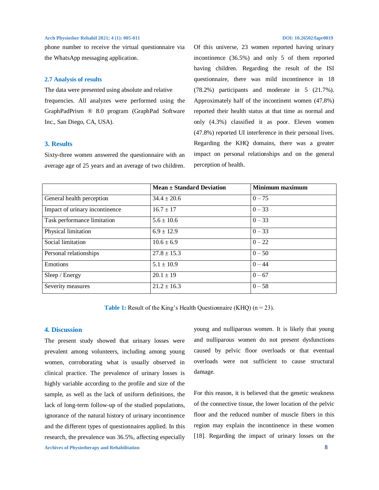phone number to receive the virtual questionnaire via the WhatsApp messaging application.

#### **2.7 Analysis of results**

The data were presented using absolute and relative frequencies. All analyzes were performed using the GraphPadPrism ® 8.0 program (GraphPad Software Inc., San Diego, CA, USA).

### **3. Results**

Sixty-three women answered the questionnaire with an average age of 25 years and an average of two children.

Of this universe, 23 women reported having urinary incontinence (36.5%) and only 5 of them reported having children. Regarding the result of the ISI questionnaire, there was mild incontinence in 18 (78.2%) participants and moderate in 5 (21.7%). Approximately half of the incontinent women (47.8%) reported their health status at that time as normal and only (4.3%) classified it as poor. Eleven women (47.8%) reported UI interference in their personal lives. Regarding the KHQ domains, there was a greater impact on personal relationships and on the general perception of health.

|                                | $Mean \pm Standard Deviation$ | <b>Minimum maximum</b> |
|--------------------------------|-------------------------------|------------------------|
| General health perception      | $34.4 \pm 20.6$               | $0 - 75$               |
| Impact of urinary incontinence | $16.7 \pm 17$                 | $0 - 33$               |
| Task performance limitation    | $5.6 \pm 10.6$                | $0 - 33$               |
| Physical limitation            | $6.9 \pm 12.9$                | $0 - 33$               |
| Social limitation              | $10.6 \pm 6.9$                | $0 - 22$               |
| Personal relationships         | $27.8 \pm 15.3$               | $0 - 50$               |
| Emotions                       | $5.1 \pm 10.9$                | $0 - 44$               |
| Sleep / Energy                 | $20.1 \pm 19$                 | $0 - 67$               |
| Severity measures              | $21.2 \pm 16.3$               | $0 - 58$               |

**Table 1:** Result of the King's Health Questionnaire (KHQ) (n = 23).

#### **4. Discussion**

**Archives of Physiotherapy and Rehabilitation 8** The present study showed that urinary losses were prevalent among volunteers, including among young women, corroborating what is usually observed in clinical practice. The prevalence of urinary losses is highly variable according to the profile and size of the sample, as well as the lack of uniform definitions, the lack of long-term follow-up of the studied populations, ignorance of the natural history of urinary incontinence and the different types of questionnaires applied. In this research, the prevalence was 36.5%, affecting especially

young and nulliparous women. It is likely that young and nulliparous women do not present dysfunctions caused by pelvic floor overloads or that eventual overloads were not sufficient to cause structural damage.

For this reason, it is believed that the genetic weakness of the connective tissue, the lower location of the pelvic floor and the reduced number of muscle fibers in this region may explain the incontinence in these women [18]. Regarding the impact of urinary losses on the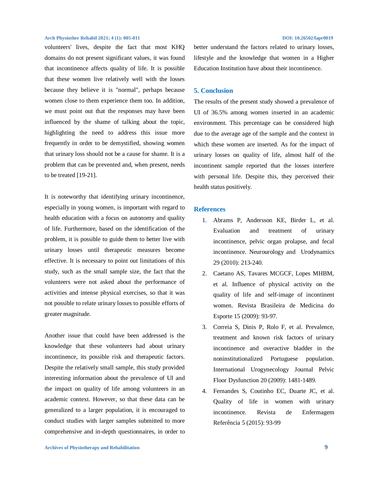volunteers' lives, despite the fact that most KHQ domains do not present significant values, it was found that incontinence affects quality of life. It is possible that these women live relatively well with the losses because they believe it is "normal", perhaps because women close to them experience them too. In addition, we must point out that the responses may have been influenced by the shame of talking about the topic, highlighting the need to address this issue more frequently in order to be demystified, showing women that urinary loss should not be a cause for shame. It is a problem that can be prevented and, when present, needs to be treated [19-21].

It is noteworthy that identifying urinary incontinence, especially in young women, is important with regard to health education with a focus on autonomy and quality of life. Furthermore, based on the identification of the problem, it is possible to guide them to better live with urinary losses until therapeutic measures become effective. It is necessary to point out limitations of this study, such as the small sample size, the fact that the volunteers were not asked about the performance of activities and intense physical exercises, so that it was not possible to relate urinary losses to possible efforts of greater magnitude.

Another issue that could have been addressed is the knowledge that these volunteers had about urinary incontinence, its possible risk and therapeutic factors. Despite the relatively small sample, this study provided interesting information about the prevalence of UI and the impact on quality of life among volunteers in an academic context. However, so that these data can be generalized to a larger population, it is encouraged to conduct studies with larger samples submitted to more comprehensive and in-depth questionnaires, in order to better understand the factors related to urinary losses, lifestyle and the knowledge that women in a Higher Education Institution have about their incontinence.

#### **5. Conclusion**

The results of the present study showed a prevalence of UI of 36.5% among women inserted in an academic environment. This percentage can be considered high due to the average age of the sample and the context in which these women are inserted. As for the impact of urinary losses on quality of life, almost half of the incontinent sample reported that the losses interfere with personal life. Despite this, they perceived their health status positively.

#### **References**

- 1. Abrams P, Andersson KE, Birder L, et al. Evaluation and treatment of urinary incontinence, pelvic organ prolapse, and fecal incontinence. Neurourology and Urodynamics 29 (2010): 213-240.
- 2. Caetano AS, Tavares MCGCF, Lopes MHBM, et al. Influence of physical activity on the quality of life and self-image of incontinent women. Revista Brasileira de Medicina do Esporte 15 (2009): 93-97.
- 3. Correia S, Dinis P, Rolo F, et al. Prevalence, treatment and known risk factors of urinary incontinence and overactive bladder in the noninstitutionalized Portuguese population. International Urogynecology Journal Pelvic Floor Dysfunction 20 (2009): 1481-1489.
- 4. Fernandes S, Coutinho EC, Duarte JC, et al. Quality of life in women with urinary incontinence. Revista de Enfermagem Referência 5 (2015): 93-99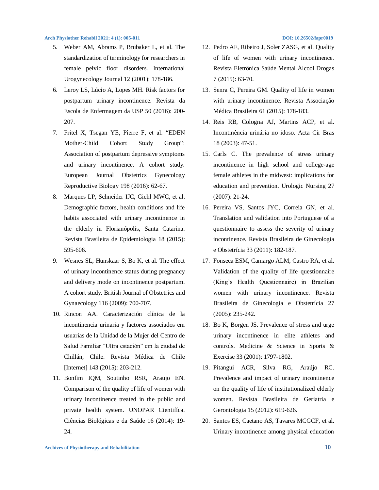- 5. Weber AM, Abrams P, Brubaker L, et al. The standardization of terminology for researchers in female pelvic floor disorders. International Urogynecology Journal 12 (2001): 178-186.
- 6. Leroy LS, Lúcio A, Lopes MH. Risk factors for postpartum urinary incontinence. Revista da Escola de Enfermagem da USP 50 (2016): 200- 207.
- 7. Fritel X, Tsegan YE, Pierre F, et al. "EDEN Mother-Child Cohort Study Group": Association of postpartum depressive symptoms and urinary incontinence. A cohort study. European Journal Obstetrics Gynecology Reproductive Biology 198 (2016): 62-67.
- 8. Marques LP, Schneider IJC, Giehl MWC, et al. Demographic factors, health conditions and life habits associated with urinary incontinence in the elderly in Florianópolis, Santa Catarina. Revista Brasileira de Epidemiologia 18 (2015): 595-606.
- 9. Wesnes SL, Hunskaar S, Bo K, et al. The effect of urinary incontinence status during pregnancy and delivery mode on incontinence postpartum. A cohort study. British Journal of Obstetrics and Gynaecology 116 (2009): 700-707.
- 10. Rincon AA. Caracterización clínica de la incontinencia urinaria y factores associados em usuarias de la Unidad de la Mujer del Centro de Salud Familiar "Ultra estación" em la ciudad de Chillán, Chile. Revista Médica de Chile [Internet] 143 (2015): 203-212.
- 11. Bonfim IQM, Soutinho RSR, Araujo EN. Comparison of the quality of life of women with urinary incontinence treated in the public and private health system. UNOPAR Cientifíca. Ciências Biológicas e da Saúde 16 (2014): 19- 24.
- 12. Pedro AF, Ribeiro J, Soler ZASG, et al. Quality of life of women with urinary incontinence. Revista Eletrônica Saúde Mental Álcool Drogas 7 (2015): 63-70.
- 13. Senra C, Pereira GM. Quality of life in women with urinary incontinence. Revista Associação Médica Brasileira 61 (2015): 178-183.
- 14. Reis RB, Cologna AJ, Martins ACP, et al. Incontinência urinária no idoso. Acta Cir Bras 18 (2003): 47-51.
- 15. Carls C. The prevalence of stress urinary incontinence in high school and college-age female athletes in the midwest: implications for education and prevention. Urologic Nursing 27 (2007): 21-24.
- 16. Pereira VS, Santos JYC, Correia GN, et al. Translation and validation into Portuguese of a questionnaire to assess the severity of urinary incontinence. Revista Brasileira de Ginecologia e Obstetrícia 33 (2011): 182-187.
- 17. Fonseca ESM, Camargo ALM, Castro RA, et al. Validation of the quality of life questionnaire (King's Health Questionnaire) in Brazilian women with urinary incontinence. Revista Brasileira de Ginecologia e Obstetrícia 27 (2005): 235-242.
- 18. Bo K, Borgen JS. Prevalence of stress and urge urinary incontinence in elite athletes and controls. Medicine & Science in Sports & Exercise 33 (2001): 1797-1802.
- 19. Pitangui ACR, Silva RG, Araújo RC. Prevalence and impact of urinary incontinence on the quality of life of institutionalized elderly women. Revista Brasileira de Geriatria e Gerontologia 15 (2012): 619-626.
- 20. Santos ES, Caetano AS, Tavares MCGCF, et al. Urinary incontinence among physical education